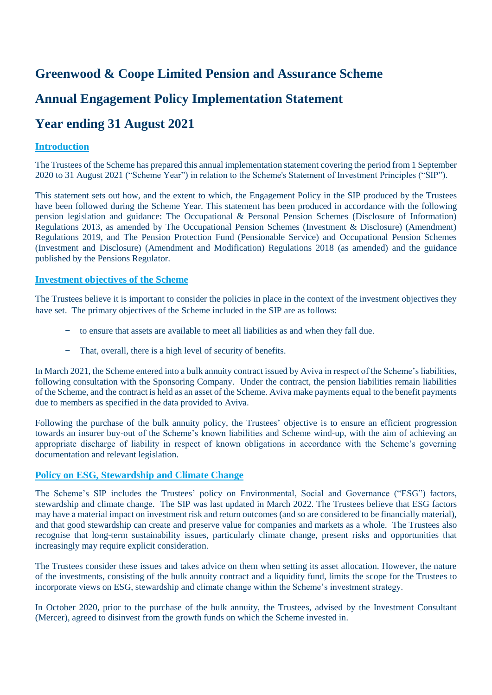## **Greenwood & Coope Limited Pension and Assurance Scheme**

## **Annual Engagement Policy Implementation Statement**

# **Year ending 31 August 2021**

## **Introduction**

The Trustees of the Scheme has prepared this annual implementation statement covering the period from 1 September 2020 to 31 August 2021 ("Scheme Year") in relation to the Scheme's Statement of Investment Principles ("SIP").

This statement sets out how, and the extent to which, the Engagement Policy in the SIP produced by the Trustees have been followed during the Scheme Year. This statement has been produced in accordance with the following pension legislation and guidance: The Occupational & Personal Pension Schemes (Disclosure of Information) Regulations 2013, as amended by The Occupational Pension Schemes (Investment & Disclosure) (Amendment) Regulations 2019, and The Pension Protection Fund (Pensionable Service) and Occupational Pension Schemes (Investment and Disclosure) (Amendment and Modification) Regulations 2018 (as amended) and the guidance published by the Pensions Regulator.

#### **Investment objectives of the Scheme**

The Trustees believe it is important to consider the policies in place in the context of the investment objectives they have set. The primary objectives of the Scheme included in the SIP are as follows:

- − to ensure that assets are available to meet all liabilities as and when they fall due.
- − That, overall, there is a high level of security of benefits.

In March 2021, the Scheme entered into a bulk annuity contract issued by Aviva in respect of the Scheme's liabilities, following consultation with the Sponsoring Company. Under the contract, the pension liabilities remain liabilities of the Scheme, and the contract is held as an asset of the Scheme. Aviva make payments equal to the benefit payments due to members as specified in the data provided to Aviva.

Following the purchase of the bulk annuity policy, the Trustees' objective is to ensure an efficient progression towards an insurer buy-out of the Scheme's known liabilities and Scheme wind-up, with the aim of achieving an appropriate discharge of liability in respect of known obligations in accordance with the Scheme's governing documentation and relevant legislation.

## **Policy on ESG, Stewardship and Climate Change**

The Scheme's SIP includes the Trustees' policy on Environmental, Social and Governance ("ESG") factors, stewardship and climate change. The SIP was last updated in March 2022. The Trustees believe that ESG factors may have a material impact on investment risk and return outcomes (and so are considered to be financially material), and that good stewardship can create and preserve value for companies and markets as a whole. The Trustees also recognise that long-term sustainability issues, particularly climate change, present risks and opportunities that increasingly may require explicit consideration.

The Trustees consider these issues and takes advice on them when setting its asset allocation. However, the nature of the investments, consisting of the bulk annuity contract and a liquidity fund, limits the scope for the Trustees to incorporate views on ESG, stewardship and climate change within the Scheme's investment strategy.

In October 2020, prior to the purchase of the bulk annuity, the Trustees, advised by the Investment Consultant (Mercer), agreed to disinvest from the growth funds on which the Scheme invested in.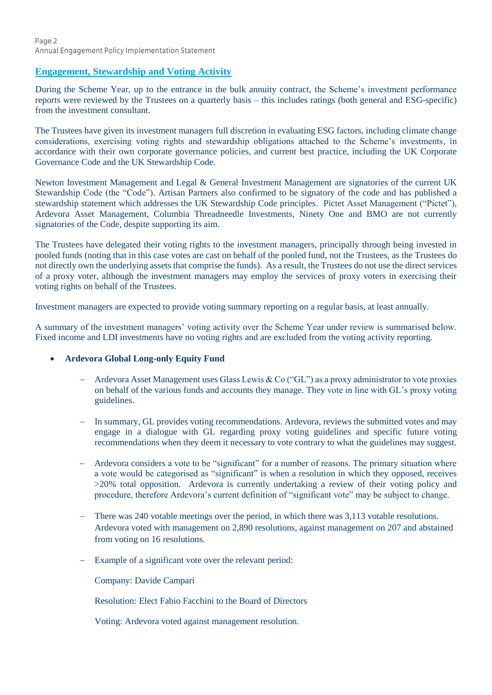## **Engagement, Stewardship and Voting Activity**

During the Scheme Year, up to the entrance in the bulk annuity contract, the Scheme's investment performance reports were reviewed by the Trustees on a quarterly basis – this includes ratings (both general and ESG-specific) from the investment consultant.

The Trustees have given its investment managers full discretion in evaluating ESG factors, including climate change considerations, exercising voting rights and stewardship obligations attached to the Scheme's investments, in accordance with their own corporate governance policies, and current best practice, including the UK Corporate Governance Code and the UK Stewardship Code.

Newton Investment Management and Legal & General Investment Management are signatories of the current UK Stewardship Code (the "Code"). Artisan Partners also confirmed to be signatory of the code and has published a stewardship statement which addresses the UK Stewardship Code principles. Pictet Asset Management ("Pictet"), Ardevora Asset Management, Columbia Threadneedle Investments, Ninety One and BMO are not currently signatories of the Code, despite supporting its aim.

The Trustees have delegated their voting rights to the investment managers, principally through being invested in pooled funds (noting that in this case votes are cast on behalf of the pooled fund, not the Trustees, as the Trustees do not directly own the underlying assets that comprise the funds). As a result, the Trustees do not use the direct services of a proxy voter, although the investment managers may employ the services of proxy voters in exercising their voting rights on behalf of the Trustees.

Investment managers are expected to provide voting summary reporting on a regular basis, at least annually.

A summary of the investment managers' voting activity over the Scheme Year under review is summarised below. Fixed income and LDI investments have no voting rights and are excluded from the voting activity reporting.

## **Ardevora Global Long-only Equity Fund**

- Ardevora Asset Management uses Glass Lewis & Co ("GL") as a proxy administrator to vote proxies on behalf of the various funds and accounts they manage. They vote in line with GL's proxy voting guidelines.
- In summary, GL provides voting recommendations. Ardevora, reviews the submitted votes and may engage in a dialogue with GL regarding proxy voting guidelines and specific future voting recommendations when they deem it necessary to vote contrary to what the guidelines may suggest.
- Ardevora considers a vote to be "significant" for a number of reasons. The primary situation where a vote would be categorised as "significant" is when a resolution in which they opposed, receives >20% total opposition. Ardevora is currently undertaking a review of their voting policy and procedure, therefore Ardevora's current definition of "significant vote" may be subject to change.
- There was 240 votable meetings over the period, in which there was 3,113 votable resolutions. Ardevora voted with management on 2,890 resolutions, against management on 207 and abstained from voting on 16 resolutions.
- Example of a significant vote over the relevant period:

Company: Davide Campari

Resolution: Elect Fabio Facchini to the Board of Directors

Voting: Ardevora voted against management resolution.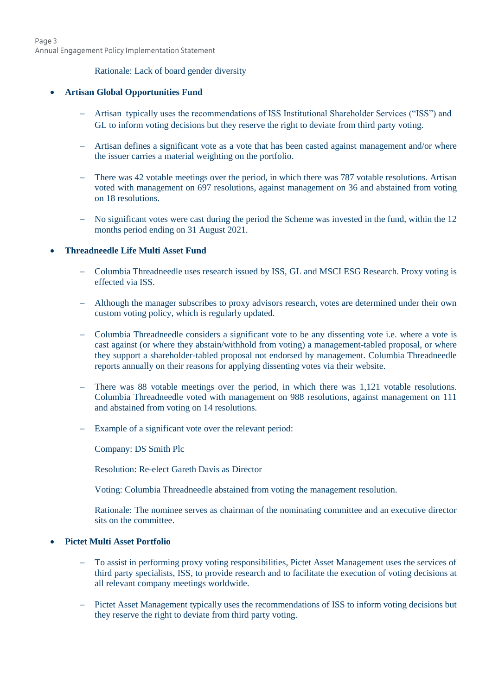#### Rationale: Lack of board gender diversity

#### **Artisan Global Opportunities Fund**

- Artisan typically uses the recommendations of ISS Institutional Shareholder Services ("ISS") and GL to inform voting decisions but they reserve the right to deviate from third party voting.
- Artisan defines a significant vote as a vote that has been casted against management and/or where the issuer carries a material weighting on the portfolio.
- There was 42 votable meetings over the period, in which there was 787 votable resolutions. Artisan voted with management on 697 resolutions, against management on 36 and abstained from voting on 18 resolutions.
- No significant votes were cast during the period the Scheme was invested in the fund, within the 12 months period ending on 31 August 2021.

#### **Threadneedle Life Multi Asset Fund**

- Columbia Threadneedle uses research issued by ISS, GL and MSCI ESG Research. Proxy voting is effected via ISS.
- Although the manager subscribes to proxy advisors research, votes are determined under their own custom voting policy, which is regularly updated.
- Columbia Threadneedle considers a significant vote to be any dissenting vote i.e. where a vote is cast against (or where they abstain/withhold from voting) a management-tabled proposal, or where they support a shareholder-tabled proposal not endorsed by management. Columbia Threadneedle reports annually on their reasons for applying dissenting votes via their website.
- There was 88 votable meetings over the period, in which there was 1,121 votable resolutions. Columbia Threadneedle voted with management on 988 resolutions, against management on 111 and abstained from voting on 14 resolutions.
- Example of a significant vote over the relevant period:
	- Company: DS Smith Plc
	- Resolution: Re-elect Gareth Davis as Director
	- Voting: Columbia Threadneedle abstained from voting the management resolution.
	- Rationale: The nominee serves as chairman of the nominating committee and an executive director sits on the committee.

### **Pictet Multi Asset Portfolio**

- To assist in performing proxy voting responsibilities, Pictet Asset Management uses the services of third party specialists, ISS, to provide research and to facilitate the execution of voting decisions at all relevant company meetings worldwide.
- Pictet Asset Management typically uses the recommendations of ISS to inform voting decisions but they reserve the right to deviate from third party voting.